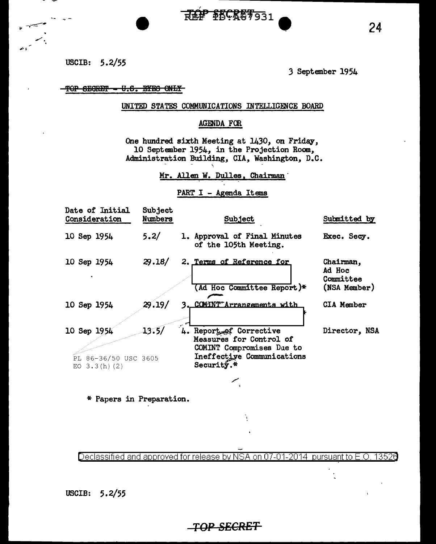USCIB: 5.2/55

3 September 1954

## TOP SEGRET - U.S. EYES ONLY

### UNITED STATES COMMUNICATIONS INTELLIGENCE BOARD

REP PECRET331

### AGENDA FOR

One hundred sixth Meeting at 1430, on Friday, 10 September 1954, in the Projection Room, Administration Building, CIA, Washington, D.C.

Mr. Allen W. Dulles, Chairman

### PART I - Agenda Items

| <b>Date of Initial</b><br>Consideration               | <b>Subject</b><br>Numbers | Subject                                                                                                                        | Submitted by                                     |
|-------------------------------------------------------|---------------------------|--------------------------------------------------------------------------------------------------------------------------------|--------------------------------------------------|
| 10 Sep 1954                                           | 5.2/                      | 1. Approval of Final Minutes<br>of the 105th Meeting.                                                                          | Exec. Secy.                                      |
| 10 Sep 1954                                           | 29.18/                    | 2. Terms of Reference for<br>(Ad Hoc Committee Report)*                                                                        | Chairman,<br>Ad Hoc<br>Committee<br>(NSA Member) |
| 10 Sep 1954                                           | 29.19/                    | 3. COMINT Arrangements with                                                                                                    | <b>CIA Member</b>                                |
| 10 Sep 1954<br>PL 86-36/50 USC 3605<br>EO $3.3(h)(2)$ | 13.5/                     | 4. Report of Corrective<br>Measures for Control of<br>COMINT Compromises Due to<br>Ineffective Communications<br>Security. $*$ | Director, NSA                                    |
|                                                       |                           |                                                                                                                                |                                                  |

\* Papers in Preparation.

Declassified and approved for release by NSA on 07-01-2014 13526 pursuant to E.O.

ì



## <del>\_TOP SECRET</del>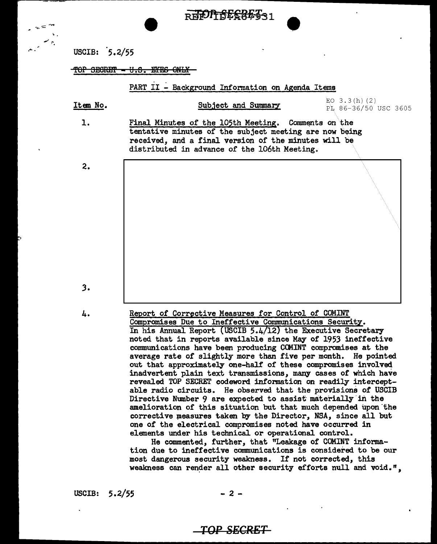| $m_{\rm e} = 10$ |                      | REFULTBESSMOR1                                                                                                                                                                                                        |                                         |
|------------------|----------------------|-----------------------------------------------------------------------------------------------------------------------------------------------------------------------------------------------------------------------|-----------------------------------------|
| يبوسم            | USCIB: 5.2/55        |                                                                                                                                                                                                                       |                                         |
|                  | <b>SECRET</b><br>TUT | <del>u.s.</del><br>mm                                                                                                                                                                                                 |                                         |
|                  |                      | PART II - Background Information on Agenda Items                                                                                                                                                                      |                                         |
|                  | Item No.             | Subject and Summary                                                                                                                                                                                                   | EO $3.3(h)$ (2)<br>PL 86-36/50 USC 3605 |
|                  | $\mathbf{1}$ .       | Final Minutes of the 105th Meeting. Comments on the<br>tentative minutes of the subject meeting are now being<br>received, and a final version of the minutes will be<br>distributed in advance of the 106th Meeting. |                                         |
|                  | 2.                   |                                                                                                                                                                                                                       |                                         |

*3.* 

4.

Report of Corrective Measures for Control of COMINT Compromises Due to Ineffective Communications Security. In his Annual Report (USCIB 5.4/12) the Executive Secretary noted that in reports available since May of 1953 ineffective communications have been producing CCMINT compromises at the average rate of slightly more than five per month. He pointed out that approximately one-half of these compromises involved inadvertent plain text transmissions, many cases of which have revealed. TOP SECRET codeword information on readily interceptable radio circuits. He observed that the provisions of USCIB Directive Number 9 are expected to assist materially in the amelioration of this situation but that much depended upon the corrective measures taken by the Director, NSA, since all but one of the electrical compromises noted have occurred in elements under his technical or operational control.

He commented, further, that "Leakage of COMINT information due to ineffective communications is considered to be our most dangerous security weakness. If not corrected, this weakness can render all other security efforts null and void.",

USCIB:  $5.2/55$  - 2 -

# **TOP SECRET**